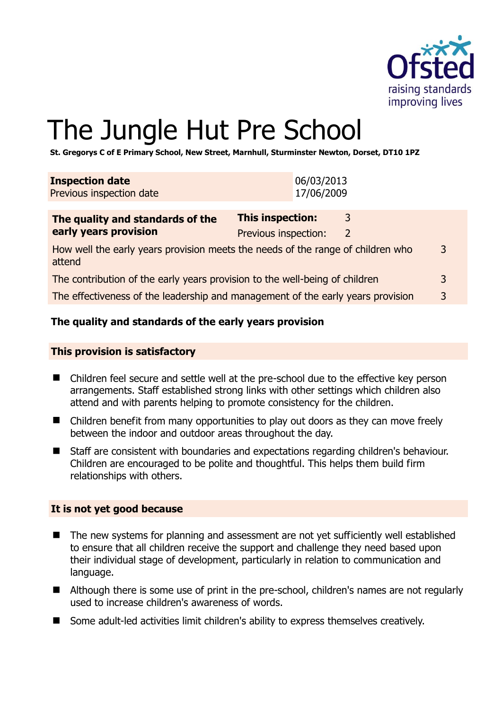

# The Jungle Hut Pre School

**St. Gregorys C of E Primary School, New Street, Marnhull, Sturminster Newton, Dorset, DT10 1PZ** 

| <b>Inspection date</b><br>Previous inspection date                                        |                                                 | 06/03/2013<br>17/06/2009 |        |   |
|-------------------------------------------------------------------------------------------|-------------------------------------------------|--------------------------|--------|---|
| The quality and standards of the<br>early years provision                                 | <b>This inspection:</b><br>Previous inspection: |                          | 3<br>2 |   |
| How well the early years provision meets the needs of the range of children who<br>attend |                                                 |                          |        | 3 |
| The contribution of the early years provision to the well-being of children               |                                                 |                          |        |   |
| The effectiveness of the leadership and management of the early years provision           |                                                 |                          |        | 3 |

# **The quality and standards of the early years provision**

#### **This provision is satisfactory**

- Children feel secure and settle well at the pre-school due to the effective key person arrangements. Staff established strong links with other settings which children also attend and with parents helping to promote consistency for the children.
- Children benefit from many opportunities to play out doors as they can move freely between the indoor and outdoor areas throughout the day.
- Staff are consistent with boundaries and expectations regarding children's behaviour. Children are encouraged to be polite and thoughtful. This helps them build firm relationships with others.

#### **It is not yet good because**

- The new systems for planning and assessment are not yet sufficiently well established to ensure that all children receive the support and challenge they need based upon their individual stage of development, particularly in relation to communication and language.
- Although there is some use of print in the pre-school, children's names are not regularly used to increase children's awareness of words.
- Some adult-led activities limit children's ability to express themselves creatively.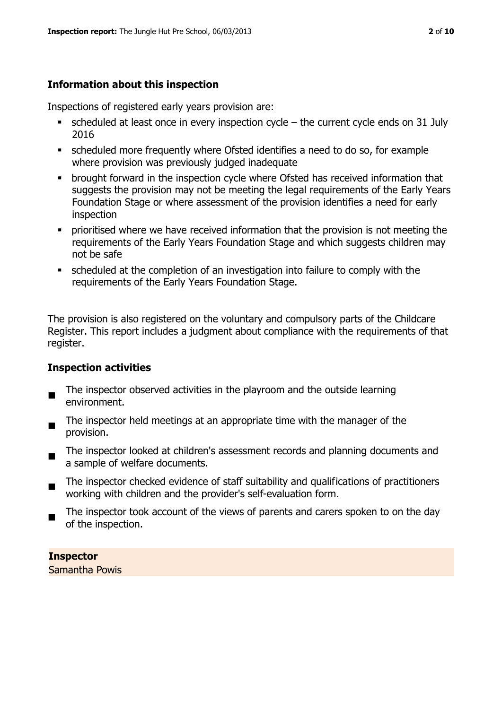# **Information about this inspection**

Inspections of registered early years provision are:

- $\blacksquare$  scheduled at least once in every inspection cycle the current cycle ends on 31 July 2016
- scheduled more frequently where Ofsted identifies a need to do so, for example where provision was previously judged inadequate
- **•** brought forward in the inspection cycle where Ofsted has received information that suggests the provision may not be meeting the legal requirements of the Early Years Foundation Stage or where assessment of the provision identifies a need for early inspection
- **•** prioritised where we have received information that the provision is not meeting the requirements of the Early Years Foundation Stage and which suggests children may not be safe
- scheduled at the completion of an investigation into failure to comply with the requirements of the Early Years Foundation Stage.

The provision is also registered on the voluntary and compulsory parts of the Childcare Register. This report includes a judgment about compliance with the requirements of that register.

#### **Inspection activities**

- $\blacksquare$ The inspector observed activities in the playroom and the outside learning environment.
- The inspector held meetings at an appropriate time with the manager of the provision.
- $\blacksquare$ The inspector looked at children's assessment records and planning documents and a sample of welfare documents.
- $\blacksquare$ The inspector checked evidence of staff suitability and qualifications of practitioners working with children and the provider's self-evaluation form.
- The inspector took account of the views of parents and carers spoken to on the day of the inspection.

**Inspector**  Samantha Powis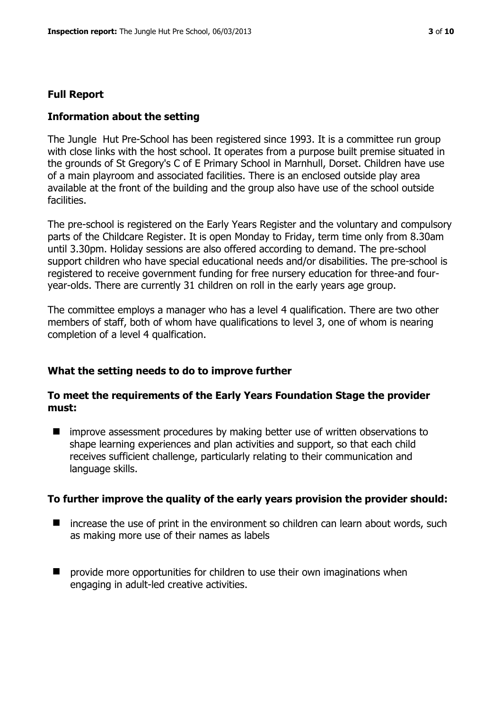# **Full Report**

# **Information about the setting**

The Jungle Hut Pre-School has been registered since 1993. It is a committee run group with close links with the host school. It operates from a purpose built premise situated in the grounds of St Gregory's C of E Primary School in Marnhull, Dorset. Children have use of a main playroom and associated facilities. There is an enclosed outside play area available at the front of the building and the group also have use of the school outside facilities.

The pre-school is registered on the Early Years Register and the voluntary and compulsory parts of the Childcare Register. It is open Monday to Friday, term time only from 8.30am until 3.30pm. Holiday sessions are also offered according to demand. The pre-school support children who have special educational needs and/or disabilities. The pre-school is registered to receive government funding for free nursery education for three-and fouryear-olds. There are currently 31 children on roll in the early years age group.

The committee employs a manager who has a level 4 qualification. There are two other members of staff, both of whom have qualifications to level 3, one of whom is nearing completion of a level 4 qualfication.

# **What the setting needs to do to improve further**

#### **To meet the requirements of the Early Years Foundation Stage the provider must:**

■ improve assessment procedures by making better use of written observations to shape learning experiences and plan activities and support, so that each child receives sufficient challenge, particularly relating to their communication and language skills.

#### **To further improve the quality of the early years provision the provider should:**

- $\blacksquare$  increase the use of print in the environment so children can learn about words, such as making more use of their names as labels
- **P** provide more opportunities for children to use their own imaginations when engaging in adult-led creative activities.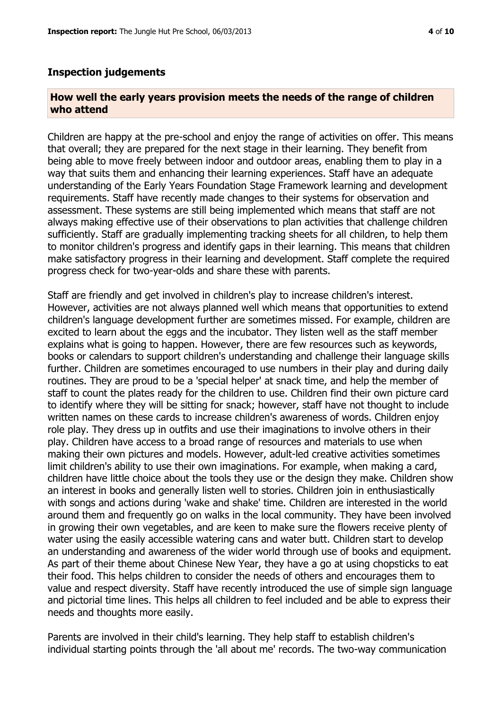#### **Inspection judgements**

#### **How well the early years provision meets the needs of the range of children who attend**

Children are happy at the pre-school and enjoy the range of activities on offer. This means that overall; they are prepared for the next stage in their learning. They benefit from being able to move freely between indoor and outdoor areas, enabling them to play in a way that suits them and enhancing their learning experiences. Staff have an adequate understanding of the Early Years Foundation Stage Framework learning and development requirements. Staff have recently made changes to their systems for observation and assessment. These systems are still being implemented which means that staff are not always making effective use of their observations to plan activities that challenge children sufficiently. Staff are gradually implementing tracking sheets for all children, to help them to monitor children's progress and identify gaps in their learning. This means that children make satisfactory progress in their learning and development. Staff complete the required progress check for two-year-olds and share these with parents.

Staff are friendly and get involved in children's play to increase children's interest. However, activities are not always planned well which means that opportunities to extend children's language development further are sometimes missed. For example, children are excited to learn about the eggs and the incubator. They listen well as the staff member explains what is going to happen. However, there are few resources such as keywords, books or calendars to support children's understanding and challenge their language skills further. Children are sometimes encouraged to use numbers in their play and during daily routines. They are proud to be a 'special helper' at snack time, and help the member of staff to count the plates ready for the children to use. Children find their own picture card to identify where they will be sitting for snack; however, staff have not thought to include written names on these cards to increase children's awareness of words. Children enjoy role play. They dress up in outfits and use their imaginations to involve others in their play. Children have access to a broad range of resources and materials to use when making their own pictures and models. However, adult-led creative activities sometimes limit children's ability to use their own imaginations. For example, when making a card, children have little choice about the tools they use or the design they make. Children show an interest in books and generally listen well to stories. Children join in enthusiastically with songs and actions during 'wake and shake' time. Children are interested in the world around them and frequently go on walks in the local community. They have been involved in growing their own vegetables, and are keen to make sure the flowers receive plenty of water using the easily accessible watering cans and water butt. Children start to develop an understanding and awareness of the wider world through use of books and equipment. As part of their theme about Chinese New Year, they have a go at using chopsticks to eat their food. This helps children to consider the needs of others and encourages them to value and respect diversity. Staff have recently introduced the use of simple sign language and pictorial time lines. This helps all children to feel included and be able to express their needs and thoughts more easily.

Parents are involved in their child's learning. They help staff to establish children's individual starting points through the 'all about me' records. The two-way communication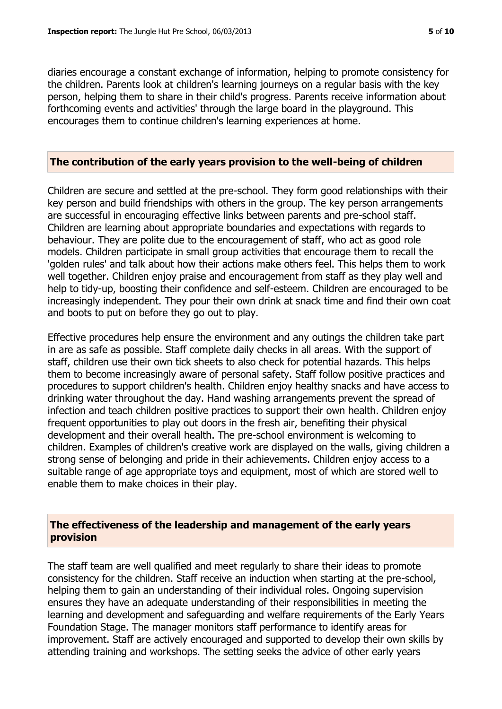diaries encourage a constant exchange of information, helping to promote consistency for the children. Parents look at children's learning journeys on a regular basis with the key person, helping them to share in their child's progress. Parents receive information about forthcoming events and activities' through the large board in the playground. This encourages them to continue children's learning experiences at home.

#### **The contribution of the early years provision to the well-being of children**

Children are secure and settled at the pre-school. They form good relationships with their key person and build friendships with others in the group. The key person arrangements are successful in encouraging effective links between parents and pre-school staff. Children are learning about appropriate boundaries and expectations with regards to behaviour. They are polite due to the encouragement of staff, who act as good role models. Children participate in small group activities that encourage them to recall the 'golden rules' and talk about how their actions make others feel. This helps them to work well together. Children enjoy praise and encouragement from staff as they play well and help to tidy-up, boosting their confidence and self-esteem. Children are encouraged to be increasingly independent. They pour their own drink at snack time and find their own coat and boots to put on before they go out to play.

Effective procedures help ensure the environment and any outings the children take part in are as safe as possible. Staff complete daily checks in all areas. With the support of staff, children use their own tick sheets to also check for potential hazards. This helps them to become increasingly aware of personal safety. Staff follow positive practices and procedures to support children's health. Children enjoy healthy snacks and have access to drinking water throughout the day. Hand washing arrangements prevent the spread of infection and teach children positive practices to support their own health. Children enjoy frequent opportunities to play out doors in the fresh air, benefiting their physical development and their overall health. The pre-school environment is welcoming to children. Examples of children's creative work are displayed on the walls, giving children a strong sense of belonging and pride in their achievements. Children enjoy access to a suitable range of age appropriate toys and equipment, most of which are stored well to enable them to make choices in their play.

# **The effectiveness of the leadership and management of the early years provision**

The staff team are well qualified and meet regularly to share their ideas to promote consistency for the children. Staff receive an induction when starting at the pre-school, helping them to gain an understanding of their individual roles. Ongoing supervision ensures they have an adequate understanding of their responsibilities in meeting the learning and development and safeguarding and welfare requirements of the Early Years Foundation Stage. The manager monitors staff performance to identify areas for improvement. Staff are actively encouraged and supported to develop their own skills by attending training and workshops. The setting seeks the advice of other early years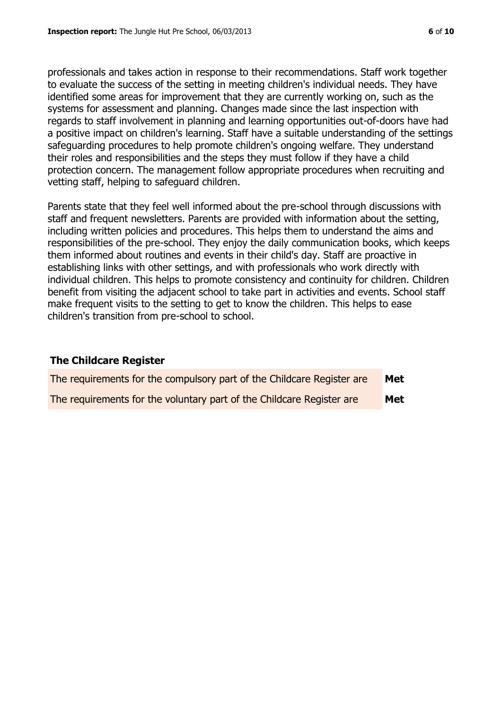professionals and takes action in response to their recommendations. Staff work together to evaluate the success of the setting in meeting children's individual needs. They have identified some areas for improvement that they are currently working on, such as the systems for assessment and planning. Changes made since the last inspection with regards to staff involvement in planning and learning opportunities out-of-doors have had a positive impact on children's learning. Staff have a suitable understanding of the settings safeguarding procedures to help promote children's ongoing welfare. They understand their roles and responsibilities and the steps they must follow if they have a child protection concern. The management follow appropriate procedures when recruiting and vetting staff, helping to safeguard children.

Parents state that they feel well informed about the pre-school through discussions with staff and frequent newsletters. Parents are provided with information about the setting, including written policies and procedures. This helps them to understand the aims and responsibilities of the pre-school. They enjoy the daily communication books, which keeps them informed about routines and events in their child's day. Staff are proactive in establishing links with other settings, and with professionals who work directly with individual children. This helps to promote consistency and continuity for children. Children benefit from visiting the adjacent school to take part in activities and events. School staff make frequent visits to the setting to get to know the children. This helps to ease children's transition from pre-school to school.

#### **The Childcare Register**

| The requirements for the compulsory part of the Childcare Register are | Met |
|------------------------------------------------------------------------|-----|
| The requirements for the voluntary part of the Childcare Register are  | Met |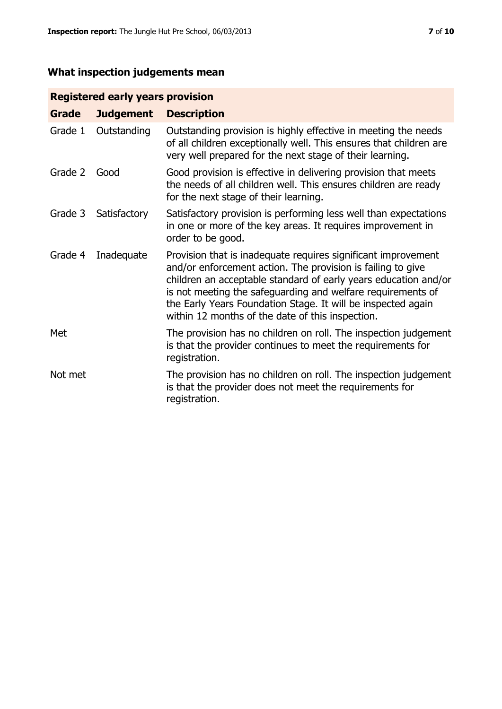# **What inspection judgements mean**

# **Registered early years provision**

| Grade   | <b>Judgement</b> | <b>Description</b>                                                                                                                                                                                                                                                                                                                                                                 |
|---------|------------------|------------------------------------------------------------------------------------------------------------------------------------------------------------------------------------------------------------------------------------------------------------------------------------------------------------------------------------------------------------------------------------|
| Grade 1 | Outstanding      | Outstanding provision is highly effective in meeting the needs<br>of all children exceptionally well. This ensures that children are<br>very well prepared for the next stage of their learning.                                                                                                                                                                                   |
| Grade 2 | Good             | Good provision is effective in delivering provision that meets<br>the needs of all children well. This ensures children are ready<br>for the next stage of their learning.                                                                                                                                                                                                         |
| Grade 3 | Satisfactory     | Satisfactory provision is performing less well than expectations<br>in one or more of the key areas. It requires improvement in<br>order to be good.                                                                                                                                                                                                                               |
| Grade 4 | Inadequate       | Provision that is inadequate requires significant improvement<br>and/or enforcement action. The provision is failing to give<br>children an acceptable standard of early years education and/or<br>is not meeting the safeguarding and welfare requirements of<br>the Early Years Foundation Stage. It will be inspected again<br>within 12 months of the date of this inspection. |
| Met     |                  | The provision has no children on roll. The inspection judgement<br>is that the provider continues to meet the requirements for<br>registration.                                                                                                                                                                                                                                    |
| Not met |                  | The provision has no children on roll. The inspection judgement<br>is that the provider does not meet the requirements for<br>registration.                                                                                                                                                                                                                                        |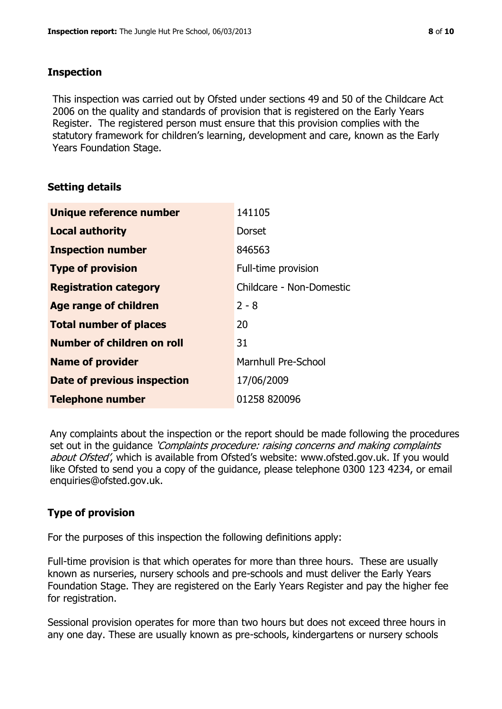#### **Inspection**

This inspection was carried out by Ofsted under sections 49 and 50 of the Childcare Act 2006 on the quality and standards of provision that is registered on the Early Years Register. The registered person must ensure that this provision complies with the statutory framework for children's learning, development and care, known as the Early Years Foundation Stage.

# **Setting details**

| Unique reference number       | 141105                     |
|-------------------------------|----------------------------|
| <b>Local authority</b>        | <b>Dorset</b>              |
| <b>Inspection number</b>      | 846563                     |
| <b>Type of provision</b>      | Full-time provision        |
| <b>Registration category</b>  | Childcare - Non-Domestic   |
| <b>Age range of children</b>  | $2 - 8$                    |
| <b>Total number of places</b> | 20                         |
| Number of children on roll    | 31                         |
| <b>Name of provider</b>       | <b>Marnhull Pre-School</b> |
| Date of previous inspection   | 17/06/2009                 |
| <b>Telephone number</b>       | 01258 820096               |

Any complaints about the inspection or the report should be made following the procedures set out in the guidance *'Complaints procedure: raising concerns and making complaints* about Ofsted', which is available from Ofsted's website: www.ofsted.gov.uk. If you would like Ofsted to send you a copy of the guidance, please telephone 0300 123 4234, or email enquiries@ofsted.gov.uk.

# **Type of provision**

For the purposes of this inspection the following definitions apply:

Full-time provision is that which operates for more than three hours. These are usually known as nurseries, nursery schools and pre-schools and must deliver the Early Years Foundation Stage. They are registered on the Early Years Register and pay the higher fee for registration.

Sessional provision operates for more than two hours but does not exceed three hours in any one day. These are usually known as pre-schools, kindergartens or nursery schools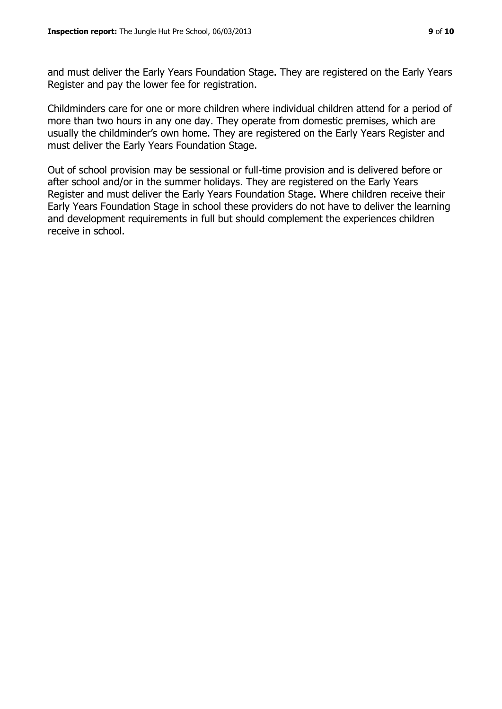and must deliver the Early Years Foundation Stage. They are registered on the Early Years Register and pay the lower fee for registration.

Childminders care for one or more children where individual children attend for a period of more than two hours in any one day. They operate from domestic premises, which are usually the childminder's own home. They are registered on the Early Years Register and must deliver the Early Years Foundation Stage.

Out of school provision may be sessional or full-time provision and is delivered before or after school and/or in the summer holidays. They are registered on the Early Years Register and must deliver the Early Years Foundation Stage. Where children receive their Early Years Foundation Stage in school these providers do not have to deliver the learning and development requirements in full but should complement the experiences children receive in school.